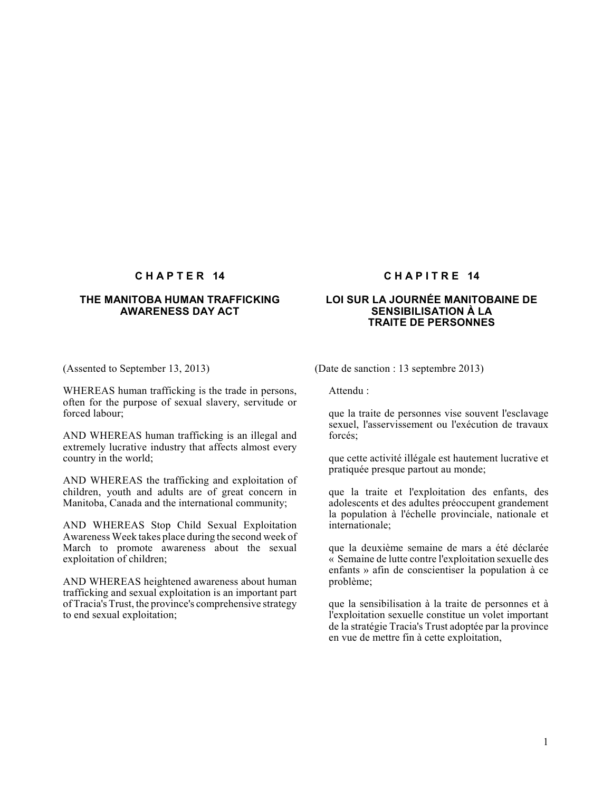### **THE MANITOBA HUMAN TRAFFICKING AWARENESS DAY ACT**

(Assented to September 13, 2013)

WHEREAS human trafficking is the trade in persons, often for the purpose of sexual slavery, servitude or forced labour;

AND WHEREAS human trafficking is an illegal and extremely lucrative industry that affects almost every country in the world;

AND WHEREAS the trafficking and exploitation of children, youth and adults are of great concern in Manitoba, Canada and the international community;

AND WHEREAS Stop Child Sexual Exploitation Awareness Week takes place during the second week of March to promote awareness about the sexual exploitation of children;

AND WHEREAS heightened awareness about human trafficking and sexual exploitation is an important part of Tracia's Trust, the province's comprehensive strategy to end sexual exploitation;

### **CHAPTER 14 CHAPITRE 14**

#### **LOI SUR LA JOURNÉE MANITOBAINE DE SENSIBILISATION À LA TRAITE DE PERSONNES**

(Date de sanction : 13 septembre 2013)

Attendu :

que la traite de personnes vise souvent l'esclavage sexuel, l'asservissement ou l'exécution de travaux forcés;

que cette activité illégale est hautement lucrative et pratiquée presque partout au monde;

que la traite et l'exploitation des enfants, des adolescents et des adultes préoccupent grandement la population à l'échelle provinciale, nationale et internationale;

que la deuxième semaine de mars a été déclarée « Semaine de lutte contre l'exploitation sexuelle des enfants » afin de conscientiser la population à ce problème;

que la sensibilisation à la traite de personnes et à l'exploitation sexuelle constitue un volet important de la stratégie Tracia's Trust adoptée par la province en vue de mettre fin à cette exploitation,